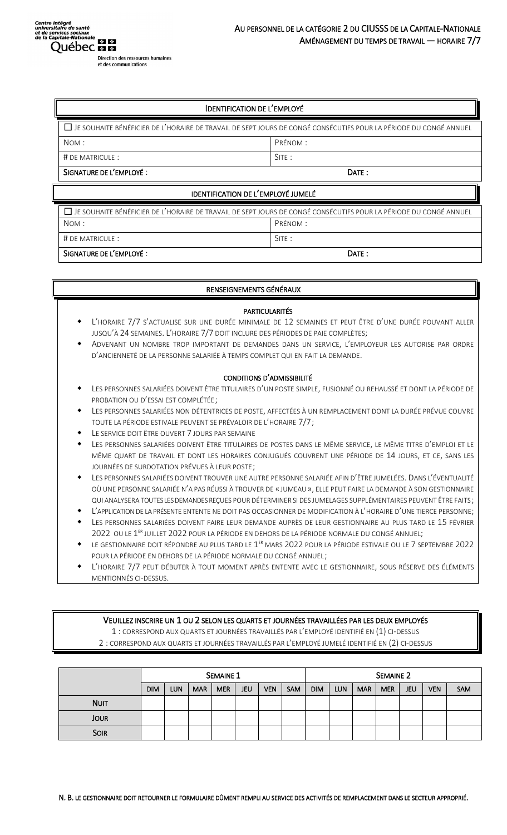# IDENTIFICATION DE L'EMPLOYÉ

| □ JE SOUHAITE BÉNÉFICIER DE L'HORAIRE DE TRAVAIL DE SEPT JOURS DE CONGÉ CONSÉCUTIFS POUR LA PÉRIODE DU CONGÉ ANNUEL |          |  |  |  |  |
|---------------------------------------------------------------------------------------------------------------------|----------|--|--|--|--|
| NOM:                                                                                                                | PRÉNOM : |  |  |  |  |
| $#$ DE MATRICULE :                                                                                                  | SITE:    |  |  |  |  |
| SIGNATURE DE L'EMPLOYÉ :                                                                                            | DATE:    |  |  |  |  |

# IDENTIFICATION DE L'EMPLOYÉ JUMELÉ

| □ JE SOUHAITE BÉNÉFICIER DE L'HORAIRE DE TRAVAIL DE SEPT JOURS DE CONGÉ CONSÉCUTIFS POUR LA PÉRIODE DU CONGÉ ANNUEL |          |  |  |  |  |
|---------------------------------------------------------------------------------------------------------------------|----------|--|--|--|--|
| NOM:                                                                                                                | Prénom : |  |  |  |  |
| # DE MATRICULE :                                                                                                    | SITE:    |  |  |  |  |
| SIGNATURE DE L'EMPLOYÉ :                                                                                            | DATF:    |  |  |  |  |

## RENSEIGNEMENTS GÉNÉRAUX

#### PARTICULARITÉS

- L'HORAIRE 7/7 S'ACTUALISE SUR UNE DURÉE MINIMALE DE 12 SEMAINES ET PEUT ÊTRE D'UNE DURÉE POUVANT ALLER JUSQU'À 24 SEMAINES. L'HORAIRE 7/7 DOIT INCLURE DES PÉRIODES DE PAIE COMPLÈTES;
- ADVENANT UN NOMBRE TROP IMPORTANT DE DEMANDES DANS UN SERVICE, L'EMPLOYEUR LES AUTORISE PAR ORDRE D'ANCIENNETÉ DE LA PERSONNE SALARIÉE À TEMPS COMPLET QUI EN FAIT LA DEMANDE.

#### CONDITIONS D'ADMISSIBILITÉ

- LES PERSONNES SALARIÉES DOIVENT ÊTRE TITULAIRES D'UN POSTE SIMPLE, FUSIONNÉ OU REHAUSSÉ ET DONT LA PÉRIODE DE PROBATION OU D'ESSAI EST COMPLÉTÉE;
- LES PERSONNES SALARIÉES NON DÉTENTRICES DE POSTE, AFFECTÉES À UN REMPLACEMENT DONT LA DURÉE PRÉVUE COUVRE TOUTE LA PÉRIODE ESTIVALE PEUVENT SE PRÉVALOIR DE L'HORAIRE 7/7;
- LE SERVICE DOIT ÊTRE OUVERT 7 JOURS PAR SEMAINE
- LES PERSONNES SALARIÉES DOIVENT ÊTRE TITULAIRES DE POSTES DANS LE MÊME SERVICE, LE MÊME TITRE D'EMPLOI ET LE MÊME QUART DE TRAVAIL ET DONT LES HORAIRES CONJUGUÉS COUVRENT UNE PÉRIODE DE 14 JOURS, ET CE, SANS LES JOURNÉES DE SURDOTATION PRÉVUES À LEUR POSTE;
- LES PERSONNES SALARIÉES DOIVENT TROUVER UNE AUTRE PERSONNE SALARIÉE AFIN D'ÊTRE JUMELÉES. DANS L'ÉVENTUALITÉ OÙ UNE PERSONNE SALARIÉE N'A PAS RÉUSSI À TROUVER DE « JUMEAU», ELLE PEUT FAIRE LA DEMANDE À SON GESTIONNAIRE QUI ANALYSERA TOUTES LES DEMANDES REÇUES POUR DÉTERMINER SI DES JUMELAGES SUPPLÉMENTAIRES PEUVENT ÊTRE FAITS;
- L'APPLICATION DE LA PRÉSENTE ENTENTE NE DOIT PAS OCCASIONNER DE MODIFICATION À L'HORAIRE D'UNE TIERCE PERSONNE;
- LES PERSONNES SALARIÉES DOIVENT FAIRE LEUR DEMANDE AUPRÈS DE LEUR GESTIONNAIRE AU PLUS TARD LE 15 FÉVRIER 2022 OU LE 1<sup>er</sup> juillet 2022 pour la période en dehors de la période normale du congé annuel;
- $\bullet$  Le gestionnaire doit répondre au plus tard le  $1^\text{ER}$  mars 2022 pour la période estivale ou le 7 septembre 2022 POUR LA PÉRIODE EN DEHORS DE LA PÉRIODE NORMALE DU CONGÉ ANNUEL;
- L'HORAIRE 7/7 PEUT DÉBUTER À TOUT MOMENT APRÈS ENTENTE AVEC LE GESTIONNAIRE, SOUS RÉSERVE DES ÉLÉMENTS MENTIONNÉS CI-DESSUS.

## VEUILLEZ INSCRIRE UN 1 OU 2 SELON LES QUARTS ET JOURNÉES TRAVAILLÉES PAR LES DEUX EMPLOYÉS

1 : CORRESPOND AUX QUARTS ET JOURNÉES TRAVAILLÉS PAR L'EMPLOYÉ IDENTIFIÉ EN (1) CI-DESSUS

2 : CORRESPOND AUX QUARTS ET JOURNÉES TRAVAILLÉS PAR L'EMPLOYÉ JUMELÉ IDENTIFIÉ EN (2) CI-DESSUS

|             | <b>SEMAINE 1</b> |            |            |            |            | <b>SEMAINE 2</b> |            |            |            |            |            |            |            |     |
|-------------|------------------|------------|------------|------------|------------|------------------|------------|------------|------------|------------|------------|------------|------------|-----|
|             | <b>DIM</b>       | <b>LUN</b> | <b>MAR</b> | <b>MER</b> | <b>JEU</b> | <b>VEN</b>       | <b>SAM</b> | <b>DIM</b> | <b>LUN</b> | <b>MAR</b> | <b>MER</b> | <b>JEU</b> | <b>VEN</b> | SAM |
| <b>NUIT</b> |                  |            |            |            |            |                  |            |            |            |            |            |            |            |     |
| <b>JOUR</b> |                  |            |            |            |            |                  |            |            |            |            |            |            |            |     |
| <b>SOIR</b> |                  |            |            |            |            |                  |            |            |            |            |            |            |            |     |